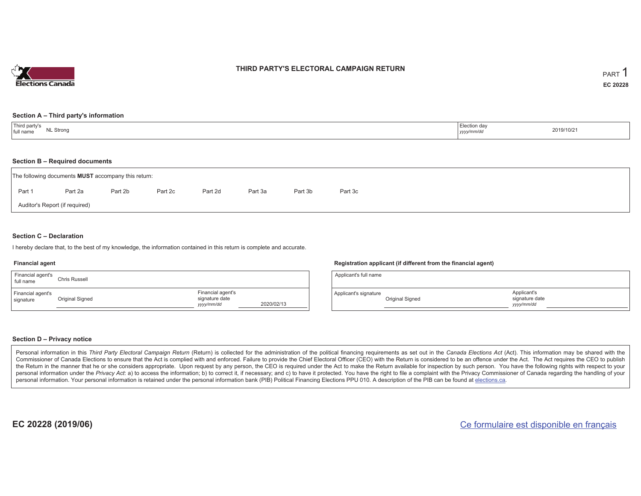

#### **THIRD PARTY'S ELECTORAL CAMPAIGN RETURN**

#### **Section A – Third party's information**

| Third party's<br>full name<br><b>NL Strong</b> | Election day<br>2019/10/21<br>yyyy/mm/dd |
|------------------------------------------------|------------------------------------------|
|------------------------------------------------|------------------------------------------|

#### **Section B – Required documents**

|                                | The following documents <b>MUST</b> accompany this return: |         |         |         |         |         |         |  |  |
|--------------------------------|------------------------------------------------------------|---------|---------|---------|---------|---------|---------|--|--|
| Part 1                         | Part 2a                                                    | Part 2b | Part 2c | Part 2d | Part 3a | Part 3b | Part 3c |  |  |
| Auditor's Report (if required) |                                                            |         |         |         |         |         |         |  |  |

#### **Section C – Declaration**

I hereby declare that, to the best of my knowledge, the information contained in this return is complete and accurate.

#### **Financial agent**

| Financial agent's<br>full name | Chris Russell   |                                                   |            |
|--------------------------------|-----------------|---------------------------------------------------|------------|
| Financial agent's<br>signature | Original Signed | Financial agent's<br>signature date<br>yyyy/mm/dd | 2020/02/13 |

#### **Registration applicant (if different from the financial agent)**

| Applicant's full name |                 |                                             |  |
|-----------------------|-----------------|---------------------------------------------|--|
| Applicant's signature | Original Signed | Applicant's<br>signature date<br>yyyy/mm/dd |  |

#### **Section D – Privacy notice**

Personal information in this Third Party Electoral Campaign Return (Return) is collected for the administration of the political financing requirements as set out in the Canada Elections Act (Act). This information may be Commissioner of Canada Elections to ensure that the Act is complied with and enforced. Failure to provide the Chief Electoral Officer (CEO) with the Return is considered to be an offence under the Act. The Act requires the the Return in the manner that he or she considers appropriate. Upon request by any person, the CEO is required under the Act to make the Return available for inspection by such person. You have the following rights with re personal information under the Privacy Act: a) to access the information; b) to correct it, if necessary; and c) to have it protected. You have the right to file a complaint with the Privacy Commissioner of Canada regardin personal information. Your personal information is retained under the personal information bank (PIB) Political Financing Elections PPU 010. A description of the PIB can be found at elections.ca.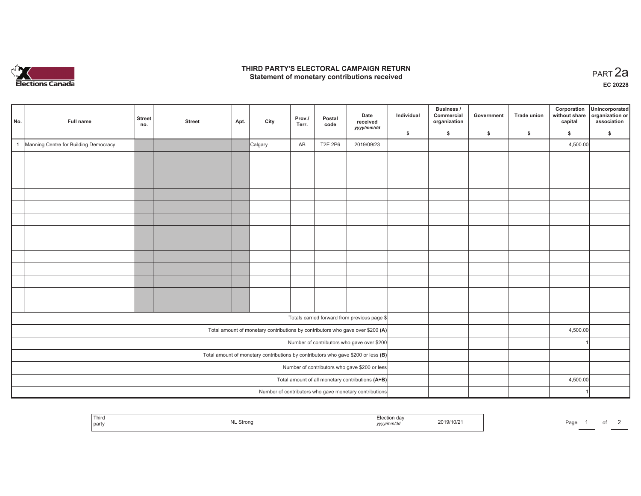

#### **THIRD PARTY'S ELECTORAL CAMPAIGN RETURN HIRD PARTY'S ELECTORAL CAMPAIGN RETURN<br>Statement of monetary contributions received PART 2a**

**EC 20228**

| No.                                                                                 | Full name                             | <b>Street</b><br>no. | <b>Street</b> | Apt. | City    | Prov./<br>Terr. | Postal<br>code | Date<br>received<br>yyyy/mm/dd                                                 | Individual<br>\$ | Business /<br>Commercial<br>organization<br>$\mathsf{s}$ | Government<br>\$ | <b>Trade union</b><br>S. | Corporation<br>without share<br>capital<br>\$ | Unincorporated<br>organization or<br>association<br>$\mathbf{s}$ |
|-------------------------------------------------------------------------------------|---------------------------------------|----------------------|---------------|------|---------|-----------------|----------------|--------------------------------------------------------------------------------|------------------|----------------------------------------------------------|------------------|--------------------------|-----------------------------------------------|------------------------------------------------------------------|
| $\overline{1}$                                                                      | Manning Centre for Building Democracy |                      |               |      | Calgary | AB              | <b>T2E 2P6</b> | 2019/09/23                                                                     |                  |                                                          |                  |                          | 4,500.00                                      |                                                                  |
|                                                                                     |                                       |                      |               |      |         |                 |                |                                                                                |                  |                                                          |                  |                          |                                               |                                                                  |
|                                                                                     |                                       |                      |               |      |         |                 |                |                                                                                |                  |                                                          |                  |                          |                                               |                                                                  |
|                                                                                     |                                       |                      |               |      |         |                 |                |                                                                                |                  |                                                          |                  |                          |                                               |                                                                  |
|                                                                                     |                                       |                      |               |      |         |                 |                |                                                                                |                  |                                                          |                  |                          |                                               |                                                                  |
|                                                                                     |                                       |                      |               |      |         |                 |                |                                                                                |                  |                                                          |                  |                          |                                               |                                                                  |
|                                                                                     |                                       |                      |               |      |         |                 |                |                                                                                |                  |                                                          |                  |                          |                                               |                                                                  |
|                                                                                     |                                       |                      |               |      |         |                 |                |                                                                                |                  |                                                          |                  |                          |                                               |                                                                  |
|                                                                                     |                                       |                      |               |      |         |                 |                |                                                                                |                  |                                                          |                  |                          |                                               |                                                                  |
|                                                                                     |                                       |                      |               |      |         |                 |                |                                                                                |                  |                                                          |                  |                          |                                               |                                                                  |
|                                                                                     |                                       |                      |               |      |         |                 |                |                                                                                |                  |                                                          |                  |                          |                                               |                                                                  |
|                                                                                     |                                       |                      |               |      |         |                 |                |                                                                                |                  |                                                          |                  |                          |                                               |                                                                  |
|                                                                                     |                                       |                      |               |      |         |                 |                |                                                                                |                  |                                                          |                  |                          |                                               |                                                                  |
|                                                                                     |                                       |                      |               |      |         |                 |                |                                                                                |                  |                                                          |                  |                          |                                               |                                                                  |
|                                                                                     |                                       |                      |               |      |         |                 |                |                                                                                |                  |                                                          |                  |                          |                                               |                                                                  |
|                                                                                     |                                       |                      |               |      |         |                 |                | Totals carried forward from previous page \$                                   |                  |                                                          |                  |                          |                                               |                                                                  |
|                                                                                     |                                       |                      |               |      |         |                 |                | Total amount of monetary contributions by contributors who gave over \$200 (A) |                  |                                                          |                  |                          | 4,500.00                                      |                                                                  |
|                                                                                     |                                       |                      |               |      |         |                 |                | Number of contributors who gave over \$200                                     |                  |                                                          |                  |                          |                                               |                                                                  |
| Total amount of monetary contributions by contributors who gave \$200 or less $(B)$ |                                       |                      |               |      |         |                 |                |                                                                                |                  |                                                          |                  |                          |                                               |                                                                  |
| Number of contributors who gave \$200 or less                                       |                                       |                      |               |      |         |                 |                |                                                                                |                  |                                                          |                  |                          |                                               |                                                                  |
|                                                                                     |                                       |                      |               |      |         |                 |                | Total amount of all monetary contributions (A+B)                               |                  |                                                          |                  |                          | 4,500.00                                      |                                                                  |
| Number of contributors who gave monetary contributions                              |                                       |                      |               |      |         |                 |                |                                                                                |                  |                                                          |                  |                          |                                               |                                                                  |

| Third<br>' party | Strono<br>. | n dav<br>1019/10/2<br>. <i>тип.</i><br>,,,,, | Page |  |
|------------------|-------------|----------------------------------------------|------|--|
|------------------|-------------|----------------------------------------------|------|--|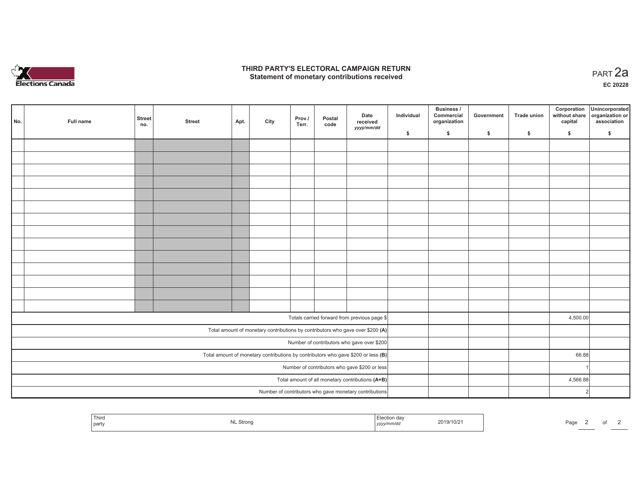

#### **THIRD PARTY'S ELECTORAL CAMPAIGN RETURN HIRD PARTY'S ELECTORAL CAMPAIGN RETURN<br>Statement of monetary contributions received PART 2a**

**EC 20228**

|                                                        |  |           |                      |               |      |      | Prov./ | Postal | Date                                                                                | Individual | <b>Business /</b><br>Commercial | Government | Trade union | Corporation<br>without share | Unincorporated<br>organization or |
|--------------------------------------------------------|--|-----------|----------------------|---------------|------|------|--------|--------|-------------------------------------------------------------------------------------|------------|---------------------------------|------------|-------------|------------------------------|-----------------------------------|
| No.                                                    |  | Full name | <b>Street</b><br>no. | <b>Street</b> | Apt. | City | Terr.  | code   | received<br>yyyy/mm/dd                                                              |            | organization                    |            |             | capital                      | association                       |
|                                                        |  |           |                      |               |      |      |        |        |                                                                                     | \$         | \$                              | \$         | \$          | \$                           | \$                                |
|                                                        |  |           |                      |               |      |      |        |        |                                                                                     |            |                                 |            |             |                              |                                   |
|                                                        |  |           |                      |               |      |      |        |        |                                                                                     |            |                                 |            |             |                              |                                   |
|                                                        |  |           |                      |               |      |      |        |        |                                                                                     |            |                                 |            |             |                              |                                   |
|                                                        |  |           |                      |               |      |      |        |        |                                                                                     |            |                                 |            |             |                              |                                   |
|                                                        |  |           |                      |               |      |      |        |        |                                                                                     |            |                                 |            |             |                              |                                   |
|                                                        |  |           |                      |               |      |      |        |        |                                                                                     |            |                                 |            |             |                              |                                   |
|                                                        |  |           |                      |               |      |      |        |        |                                                                                     |            |                                 |            |             |                              |                                   |
|                                                        |  |           |                      |               |      |      |        |        |                                                                                     |            |                                 |            |             |                              |                                   |
|                                                        |  |           |                      |               |      |      |        |        |                                                                                     |            |                                 |            |             |                              |                                   |
|                                                        |  |           |                      |               |      |      |        |        |                                                                                     |            |                                 |            |             |                              |                                   |
|                                                        |  |           |                      |               |      |      |        |        |                                                                                     |            |                                 |            |             |                              |                                   |
|                                                        |  |           |                      |               |      |      |        |        |                                                                                     |            |                                 |            |             |                              |                                   |
|                                                        |  |           |                      |               |      |      |        |        |                                                                                     |            |                                 |            |             |                              |                                   |
|                                                        |  |           |                      |               |      |      |        |        |                                                                                     |            |                                 |            |             |                              |                                   |
|                                                        |  |           |                      |               |      |      |        |        | Totals carried forward from previous page \$                                        |            |                                 |            |             | 4,500.00                     |                                   |
|                                                        |  |           |                      |               |      |      |        |        | Total amount of monetary contributions by contributors who gave over \$200 (A)      |            |                                 |            |             |                              |                                   |
|                                                        |  |           |                      |               |      |      |        |        | Number of contributors who gave over \$200                                          |            |                                 |            |             |                              |                                   |
|                                                        |  |           |                      |               |      |      |        |        | Total amount of monetary contributions by contributors who gave \$200 or less $(B)$ |            |                                 |            |             | 66.88                        |                                   |
| Number of contributors who gave \$200 or less          |  |           |                      |               |      |      |        |        |                                                                                     |            |                                 |            |             |                              |                                   |
| Total amount of all monetary contributions (A+B)       |  |           |                      |               |      |      |        |        |                                                                                     |            |                                 |            |             | 4,566.88                     |                                   |
| Number of contributors who gave monetary contributions |  |           |                      |               |      |      |        |        |                                                                                     |            |                                 |            |             |                              | 2                                 |

| 2019/10/21<br>Stron<br>Page<br>party<br>$\cdots$<br>unvaa<br>,,,,, |  | Thirc |  |  |  |  |  |  |  |
|--------------------------------------------------------------------|--|-------|--|--|--|--|--|--|--|
|--------------------------------------------------------------------|--|-------|--|--|--|--|--|--|--|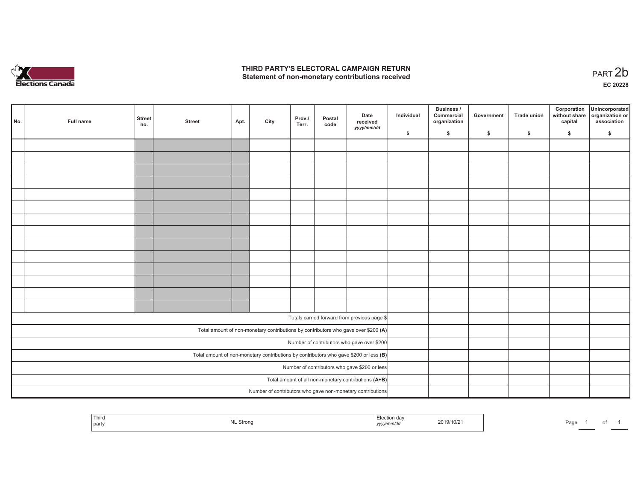

#### **THIRD PARTY'S ELECTORAL CAMPAIGN RETURN**  THIRD PARTY'S ELECTORAL CAMPAIGN RETURN<br>Statement of non-monetary contributions received

|                                                                                       | No.                                                        | Full name | <b>Street</b><br>no. | <b>Street</b> | Apt. | City | Prov./<br>Terr. | Postal<br>code | Date<br>received<br>yyyy/mm/dd                                                     | Individual | <b>Business /</b><br>Commercial<br>organization | Government | Trade union | Corporation<br>capital | Unincorporated<br>without share organization or<br>association |
|---------------------------------------------------------------------------------------|------------------------------------------------------------|-----------|----------------------|---------------|------|------|-----------------|----------------|------------------------------------------------------------------------------------|------------|-------------------------------------------------|------------|-------------|------------------------|----------------------------------------------------------------|
|                                                                                       |                                                            |           |                      |               |      |      |                 |                |                                                                                    | \$         | \$                                              | \$         | \$          | \$                     | \$                                                             |
|                                                                                       |                                                            |           |                      |               |      |      |                 |                |                                                                                    |            |                                                 |            |             |                        |                                                                |
|                                                                                       |                                                            |           |                      |               |      |      |                 |                |                                                                                    |            |                                                 |            |             |                        |                                                                |
|                                                                                       |                                                            |           |                      |               |      |      |                 |                |                                                                                    |            |                                                 |            |             |                        |                                                                |
|                                                                                       |                                                            |           |                      |               |      |      |                 |                |                                                                                    |            |                                                 |            |             |                        |                                                                |
|                                                                                       |                                                            |           |                      |               |      |      |                 |                |                                                                                    |            |                                                 |            |             |                        |                                                                |
|                                                                                       |                                                            |           |                      |               |      |      |                 |                |                                                                                    |            |                                                 |            |             |                        |                                                                |
|                                                                                       |                                                            |           |                      |               |      |      |                 |                |                                                                                    |            |                                                 |            |             |                        |                                                                |
|                                                                                       |                                                            |           |                      |               |      |      |                 |                |                                                                                    |            |                                                 |            |             |                        |                                                                |
|                                                                                       |                                                            |           |                      |               |      |      |                 |                |                                                                                    |            |                                                 |            |             |                        |                                                                |
|                                                                                       |                                                            |           |                      |               |      |      |                 |                |                                                                                    |            |                                                 |            |             |                        |                                                                |
|                                                                                       |                                                            |           |                      |               |      |      |                 |                |                                                                                    |            |                                                 |            |             |                        |                                                                |
|                                                                                       |                                                            |           |                      |               |      |      |                 |                |                                                                                    |            |                                                 |            |             |                        |                                                                |
|                                                                                       |                                                            |           |                      |               |      |      |                 |                |                                                                                    |            |                                                 |            |             |                        |                                                                |
|                                                                                       |                                                            |           |                      |               |      |      |                 |                |                                                                                    |            |                                                 |            |             |                        |                                                                |
|                                                                                       |                                                            |           |                      |               |      |      |                 |                | Totals carried forward from previous page \$                                       |            |                                                 |            |             |                        |                                                                |
|                                                                                       |                                                            |           |                      |               |      |      |                 |                |                                                                                    |            |                                                 |            |             |                        |                                                                |
|                                                                                       |                                                            |           |                      |               |      |      |                 |                | Total amount of non-monetary contributions by contributors who gave over \$200 (A) |            |                                                 |            |             |                        |                                                                |
|                                                                                       |                                                            |           |                      |               |      |      |                 |                | Number of contributors who gave over \$200                                         |            |                                                 |            |             |                        |                                                                |
| Total amount of non-monetary contributions by contributors who gave \$200 or less (B) |                                                            |           |                      |               |      |      |                 |                |                                                                                    |            |                                                 |            |             |                        |                                                                |
| Number of contributors who gave \$200 or less                                         |                                                            |           |                      |               |      |      |                 |                |                                                                                    |            |                                                 |            |             |                        |                                                                |
| Total amount of all non-monetary contributions (A+B)                                  |                                                            |           |                      |               |      |      |                 |                |                                                                                    |            |                                                 |            |             |                        |                                                                |
|                                                                                       | Number of contributors who gave non-monetary contributions |           |                      |               |      |      |                 |                |                                                                                    |            |                                                 |            |             |                        |                                                                |

| Third<br>party | . Strono<br>. | <br>,,,, | 2019/10/21 | Page |
|----------------|---------------|----------|------------|------|
|                |               |          |            |      |

1 of 1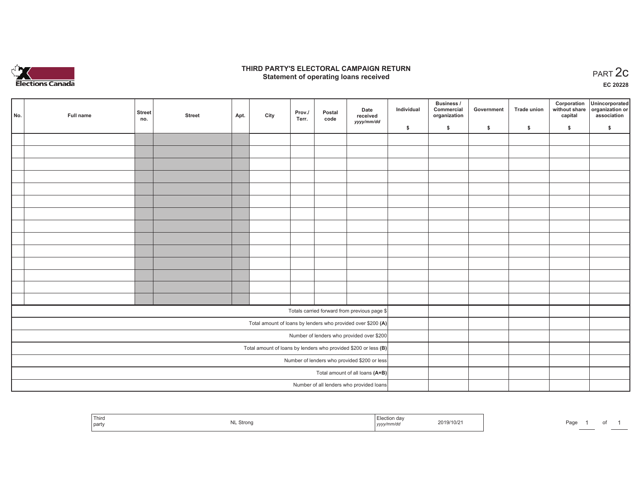

#### **THIRD PARTY'S ELECTORAL CAMPAIGN RETURN STATE:** PARTY'S ELECTORAL CAMPAIGN RETURN<br>
Statement of operating loans received

**EC 20228**

|                                              | No. | Full name | <b>Street</b><br>no. | <b>Street</b> | Apt. | City | Prov./<br>Terr. | Postal<br>code | Date<br>received                                                  | Individual | Business /<br>Commercial<br>organization | Government | Trade union | Corporation<br>capital | Unincorporated<br>without share organization or<br>association |
|----------------------------------------------|-----|-----------|----------------------|---------------|------|------|-----------------|----------------|-------------------------------------------------------------------|------------|------------------------------------------|------------|-------------|------------------------|----------------------------------------------------------------|
|                                              |     |           |                      |               |      |      |                 |                | yyyy/mm/dd                                                        | \$         | \$                                       | \$         | \$          | \$                     | \$                                                             |
|                                              |     |           |                      |               |      |      |                 |                |                                                                   |            |                                          |            |             |                        |                                                                |
|                                              |     |           |                      |               |      |      |                 |                |                                                                   |            |                                          |            |             |                        |                                                                |
|                                              |     |           |                      |               |      |      |                 |                |                                                                   |            |                                          |            |             |                        |                                                                |
|                                              |     |           |                      |               |      |      |                 |                |                                                                   |            |                                          |            |             |                        |                                                                |
|                                              |     |           |                      |               |      |      |                 |                |                                                                   |            |                                          |            |             |                        |                                                                |
|                                              |     |           |                      |               |      |      |                 |                |                                                                   |            |                                          |            |             |                        |                                                                |
|                                              |     |           |                      |               |      |      |                 |                |                                                                   |            |                                          |            |             |                        |                                                                |
|                                              |     |           |                      |               |      |      |                 |                |                                                                   |            |                                          |            |             |                        |                                                                |
|                                              |     |           |                      |               |      |      |                 |                |                                                                   |            |                                          |            |             |                        |                                                                |
|                                              |     |           |                      |               |      |      |                 |                |                                                                   |            |                                          |            |             |                        |                                                                |
|                                              |     |           |                      |               |      |      |                 |                |                                                                   |            |                                          |            |             |                        |                                                                |
|                                              |     |           |                      |               |      |      |                 |                |                                                                   |            |                                          |            |             |                        |                                                                |
|                                              |     |           |                      |               |      |      |                 |                |                                                                   |            |                                          |            |             |                        |                                                                |
|                                              |     |           |                      |               |      |      |                 |                |                                                                   |            |                                          |            |             |                        |                                                                |
|                                              |     |           |                      |               |      |      |                 |                | Totals carried forward from previous page \$                      |            |                                          |            |             |                        |                                                                |
|                                              |     |           |                      |               |      |      |                 |                | Total amount of loans by lenders who provided over \$200 (A)      |            |                                          |            |             |                        |                                                                |
|                                              |     |           |                      |               |      |      |                 |                | Number of lenders who provided over \$200                         |            |                                          |            |             |                        |                                                                |
|                                              |     |           |                      |               |      |      |                 |                | Total amount of loans by lenders who provided \$200 or less $(B)$ |            |                                          |            |             |                        |                                                                |
| Number of lenders who provided \$200 or less |     |           |                      |               |      |      |                 |                |                                                                   |            |                                          |            |             |                        |                                                                |
| Total amount of all loans (A+B)              |     |           |                      |               |      |      |                 |                |                                                                   |            |                                          |            |             |                        |                                                                |
| Number of all lenders who provided loans     |     |           |                      |               |      |      |                 |                |                                                                   |            |                                          |            |             |                        |                                                                |

| Third<br>part | .⊾ Stronα<br>$\cdots$ | tion dav<br>vvvvrnma<br>$\cdots$ $\cdots$<br>,,,,, | 2019/10/21 | Page |  |  |
|---------------|-----------------------|----------------------------------------------------|------------|------|--|--|
|               |                       |                                                    |            |      |  |  |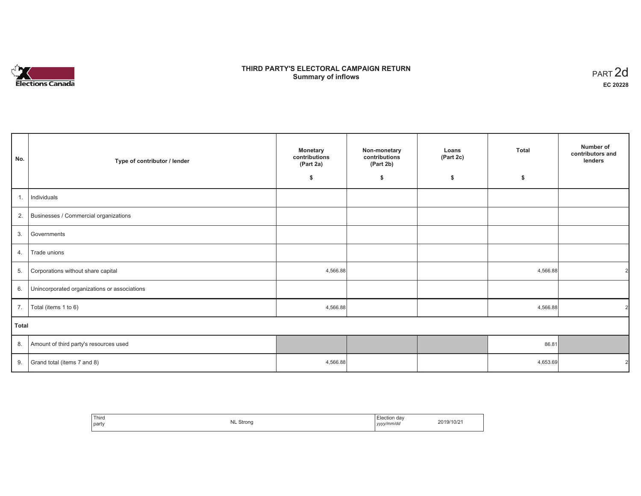# **Elections Canada**

## **THIRD PARTY'S ELECTORAL CAMPAIGN RETURN Summary of inflows**

| PART <sub>2d</sub> |
|--------------------|
| EC 20228           |

| No.   | Type of contributor / lender                 | <b>Monetary</b><br>contributions<br>(Part 2a) | Non-monetary<br>contributions<br>(Part 2b) | Loans<br>(Part 2c) | <b>Total</b> | Number of<br>contributors and<br>lenders |
|-------|----------------------------------------------|-----------------------------------------------|--------------------------------------------|--------------------|--------------|------------------------------------------|
|       |                                              | \$                                            | \$                                         | \$                 | \$           |                                          |
| 1.    | Individuals                                  |                                               |                                            |                    |              |                                          |
| 2.    | Businesses / Commercial organizations        |                                               |                                            |                    |              |                                          |
| 3.    | Governments                                  |                                               |                                            |                    |              |                                          |
| 4.    | Trade unions                                 |                                               |                                            |                    |              |                                          |
| 5.    | Corporations without share capital           | 4,566.88                                      |                                            |                    | 4,566.88     |                                          |
| 6.    | Unincorporated organizations or associations |                                               |                                            |                    |              |                                          |
| 7.    | Total (items 1 to 6)                         | 4,566.88                                      |                                            |                    | 4,566.88     | $\overline{2}$                           |
| Total |                                              |                                               |                                            |                    |              |                                          |
| 8.    | Amount of third party's resources used       |                                               |                                            |                    | 86.81        |                                          |
| 9.    | Grand total (items 7 and 8)                  | 4,566.88                                      |                                            |                    | 4,653.69     |                                          |

| Third | <b>NL Strong</b> | Election day | 2019/10/21 |
|-------|------------------|--------------|------------|
| party | ∽                | yyyy/mm/dd   |            |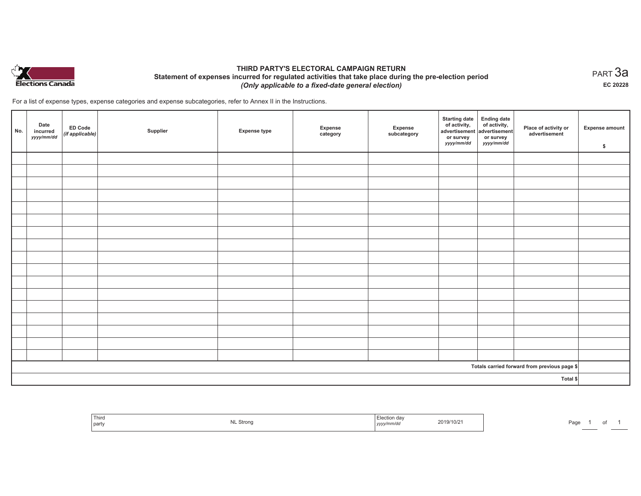

## **THIRD PARTY'S ELECTORAL CAMPAIGN RETURN Statement of expenses incurred for regulated activities that take place during the pre-election period**  *(Only applicable to a fixed-date general election)*

For a list of expense types, expense categories and expense subcategories, refer to Annex II in the Instructions.

| No. | Date<br>incurred<br>yyyy/mm/dd | <b>ED Code</b><br>$($ if applicable $)$ | Supplier | <b>Expense type</b> | Expense<br>category | Expense<br>subcategory | <b>Starting date</b><br>of activity,<br>advertisement<br>or survey<br>yyyy/mm/dd | Ending date<br>of activity,<br>advertisement<br>or survey<br>yyyy/mm/dd | Place of activity or<br>advertisement        | <b>Expense amount</b><br>\$ |
|-----|--------------------------------|-----------------------------------------|----------|---------------------|---------------------|------------------------|----------------------------------------------------------------------------------|-------------------------------------------------------------------------|----------------------------------------------|-----------------------------|
|     |                                |                                         |          |                     |                     |                        |                                                                                  |                                                                         |                                              |                             |
|     |                                |                                         |          |                     |                     |                        |                                                                                  |                                                                         |                                              |                             |
|     |                                |                                         |          |                     |                     |                        |                                                                                  |                                                                         |                                              |                             |
|     |                                |                                         |          |                     |                     |                        |                                                                                  |                                                                         |                                              |                             |
|     |                                |                                         |          |                     |                     |                        |                                                                                  |                                                                         |                                              |                             |
|     |                                |                                         |          |                     |                     |                        |                                                                                  |                                                                         |                                              |                             |
|     |                                |                                         |          |                     |                     |                        |                                                                                  |                                                                         |                                              |                             |
|     |                                |                                         |          |                     |                     |                        |                                                                                  |                                                                         |                                              |                             |
|     |                                |                                         |          |                     |                     |                        |                                                                                  |                                                                         |                                              |                             |
|     |                                |                                         |          |                     |                     |                        |                                                                                  |                                                                         |                                              |                             |
|     |                                |                                         |          |                     |                     |                        |                                                                                  |                                                                         |                                              |                             |
|     |                                |                                         |          |                     |                     |                        |                                                                                  |                                                                         |                                              |                             |
|     |                                |                                         |          |                     |                     |                        |                                                                                  |                                                                         |                                              |                             |
|     |                                |                                         |          |                     |                     |                        |                                                                                  |                                                                         |                                              |                             |
|     |                                |                                         |          |                     |                     |                        |                                                                                  |                                                                         |                                              |                             |
|     |                                |                                         |          |                     |                     |                        |                                                                                  |                                                                         |                                              |                             |
|     |                                |                                         |          |                     |                     |                        |                                                                                  |                                                                         |                                              |                             |
|     |                                |                                         |          |                     |                     |                        |                                                                                  |                                                                         | Totals carried forward from previous page \$ |                             |
|     |                                |                                         |          |                     |                     |                        |                                                                                  |                                                                         | Total \$                                     |                             |

|  | Third<br>party | <b>NL Strong</b> | Election day<br>2019/10/21<br>.<br>yyyy/mm/dd | Page |
|--|----------------|------------------|-----------------------------------------------|------|
|--|----------------|------------------|-----------------------------------------------|------|

 $_{\sf PART}$ 3a **EC 20228**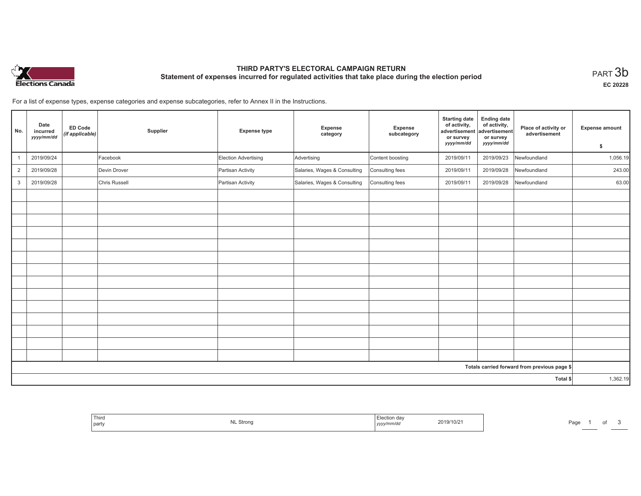

# **THIRD PARTY'S ELECTORAL CAMPAIGN RETURN Statement of expenses incurred for regulated activities that take place during the election period**<br>PART  $3\mathsf{b}$

**EC 20228**

of  $3$ 

For a list of expense types, expense categories and expense subcategories, refer to Annex II in the Instructions.

| No.            | Date<br>incurred<br>yyyy/mm/dd | ED Code<br>(if applicable) | Supplier      | <b>Expense type</b>  | Expense<br>category          | Expense<br>subcategory | <b>Starting date</b><br>of activity,<br>advertisement<br>or survey<br>yyyy/mm/dd | <b>Ending date</b><br>of activity,<br>advertisement<br>or survey<br>yyyy/mm/dd | Place of activity or<br>advertisement        | Expense amount<br>\$ |
|----------------|--------------------------------|----------------------------|---------------|----------------------|------------------------------|------------------------|----------------------------------------------------------------------------------|--------------------------------------------------------------------------------|----------------------------------------------|----------------------|
|                | 2019/09/24                     |                            | Facebook      | Election Advertising | Advertising                  | Content boosting       | 2019/09/11                                                                       | 2019/09/23                                                                     | Newfoundland                                 | 1,056.19             |
| $\overline{2}$ | 2019/09/28                     |                            | Devin Drover  | Partisan Activity    | Salaries, Wages & Consulting | Consulting fees        | 2019/09/11                                                                       | 2019/09/28                                                                     | Newfoundland                                 | 243.00               |
| $\mathbf{3}$   | 2019/09/28                     |                            | Chris Russell | Partisan Activity    | Salaries, Wages & Consulting | Consulting fees        | 2019/09/11                                                                       | 2019/09/28                                                                     | Newfoundland                                 | 63.00                |
|                |                                |                            |               |                      |                              |                        |                                                                                  |                                                                                |                                              |                      |
|                |                                |                            |               |                      |                              |                        |                                                                                  |                                                                                |                                              |                      |
|                |                                |                            |               |                      |                              |                        |                                                                                  |                                                                                |                                              |                      |
|                |                                |                            |               |                      |                              |                        |                                                                                  |                                                                                |                                              |                      |
|                |                                |                            |               |                      |                              |                        |                                                                                  |                                                                                |                                              |                      |
|                |                                |                            |               |                      |                              |                        |                                                                                  |                                                                                |                                              |                      |
|                |                                |                            |               |                      |                              |                        |                                                                                  |                                                                                |                                              |                      |
|                |                                |                            |               |                      |                              |                        |                                                                                  |                                                                                |                                              |                      |
|                |                                |                            |               |                      |                              |                        |                                                                                  |                                                                                |                                              |                      |
|                |                                |                            |               |                      |                              |                        |                                                                                  |                                                                                |                                              |                      |
|                |                                |                            |               |                      |                              |                        |                                                                                  |                                                                                |                                              |                      |
|                |                                |                            |               |                      |                              |                        |                                                                                  |                                                                                |                                              |                      |
|                |                                |                            |               |                      |                              |                        |                                                                                  |                                                                                |                                              |                      |
|                |                                |                            |               |                      |                              |                        |                                                                                  |                                                                                |                                              |                      |
|                |                                |                            |               |                      |                              |                        |                                                                                  |                                                                                | Totals carried forward from previous page \$ |                      |
|                |                                |                            |               |                      |                              |                        |                                                                                  |                                                                                | Total \$                                     | 1,362.19             |

| <sup>'</sup> Thiro<br><b>NL Strong</b><br>party | Election day<br>2019/10/2<br>vyy/mm/dc<br>,,,,, | Page |
|-------------------------------------------------|-------------------------------------------------|------|
|-------------------------------------------------|-------------------------------------------------|------|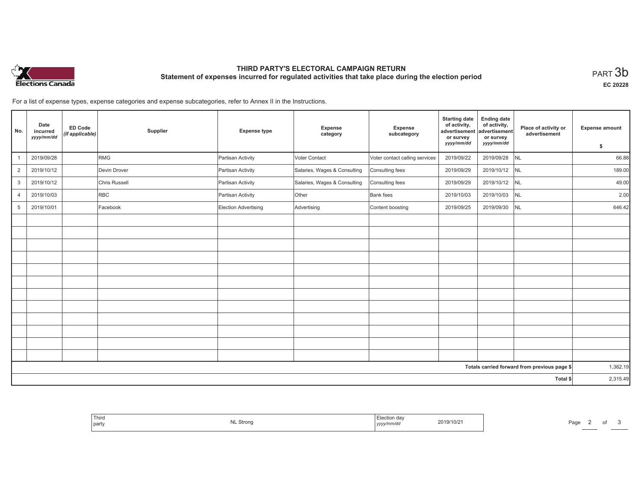

# **THIRD PARTY'S ELECTORAL CAMPAIGN RETURN Statement of expenses incurred for regulated activities that take place during the election period**<br>PART  $3\mathsf{b}$

**EC 20228**

Page 2 of 3

For a list of expense types, expense categories and expense subcategories, refer to Annex II in the Instructions.

| No.            | Date<br>incurred<br>yyyy/mm/dd | <b>ED Code</b><br>(if applicable) | Supplier      | <b>Expense type</b>         | <b>Expense</b><br>category   | Expense<br>subcategory         | <b>Starting date</b><br>of activity,<br>advertisement<br>or survey | <b>Ending date</b><br>of activity,<br>advertisement<br>or survey | Place of activity or<br>advertisement        | <b>Expense amount</b> |
|----------------|--------------------------------|-----------------------------------|---------------|-----------------------------|------------------------------|--------------------------------|--------------------------------------------------------------------|------------------------------------------------------------------|----------------------------------------------|-----------------------|
|                |                                |                                   |               |                             |                              |                                | yyyy/mm/dd                                                         | yyyy/mm/dd                                                       |                                              | \$                    |
|                | 2019/09/28                     |                                   | RMG           | Partisan Activity           | Voter Contact                | Voter contact calling services | 2019/09/22                                                         | 2019/09/28                                                       | NL                                           | 66.88                 |
| $\overline{2}$ | 2019/10/12                     |                                   | Devin Drover  | Partisan Activity           | Salaries, Wages & Consulting | Consulting fees                | 2019/09/29                                                         | 2019/10/12 NL                                                    |                                              | 189.00                |
| 3              | 2019/10/12                     |                                   | Chris Russell | Partisan Activity           | Salaries, Wages & Consulting | Consulting fees                | 2019/09/29                                                         | 2019/10/12 NL                                                    |                                              | 49.00                 |
| $\overline{4}$ | 2019/10/03                     |                                   | <b>RBC</b>    | Partisan Activity           | Other                        | Bank fees                      | 2019/10/03                                                         | 2019/10/03                                                       | NL                                           | 2.00                  |
| 5              | 2019/10/01                     |                                   | Facebook      | <b>Election Advertising</b> | Advertising                  | Content boosting               | 2019/09/25                                                         | 2019/09/30                                                       | <b>NL</b>                                    | 646.42                |
|                |                                |                                   |               |                             |                              |                                |                                                                    |                                                                  |                                              |                       |
|                |                                |                                   |               |                             |                              |                                |                                                                    |                                                                  |                                              |                       |
|                |                                |                                   |               |                             |                              |                                |                                                                    |                                                                  |                                              |                       |
|                |                                |                                   |               |                             |                              |                                |                                                                    |                                                                  |                                              |                       |
|                |                                |                                   |               |                             |                              |                                |                                                                    |                                                                  |                                              |                       |
|                |                                |                                   |               |                             |                              |                                |                                                                    |                                                                  |                                              |                       |
|                |                                |                                   |               |                             |                              |                                |                                                                    |                                                                  |                                              |                       |
|                |                                |                                   |               |                             |                              |                                |                                                                    |                                                                  |                                              |                       |
|                |                                |                                   |               |                             |                              |                                |                                                                    |                                                                  |                                              |                       |
|                |                                |                                   |               |                             |                              |                                |                                                                    |                                                                  |                                              |                       |
|                |                                |                                   |               |                             |                              |                                |                                                                    |                                                                  |                                              |                       |
|                |                                |                                   |               |                             |                              |                                |                                                                    |                                                                  |                                              |                       |
|                |                                |                                   |               |                             |                              |                                |                                                                    |                                                                  | Totals carried forward from previous page \$ | 1,362.19              |
|                |                                |                                   |               |                             |                              |                                |                                                                    |                                                                  | Total \$                                     | 2,315.49              |

| Third<br>2019/10/21<br>MI<br>الγ، JL Strong<br>party<br>' vyyy/mm/da |
|----------------------------------------------------------------------|
|----------------------------------------------------------------------|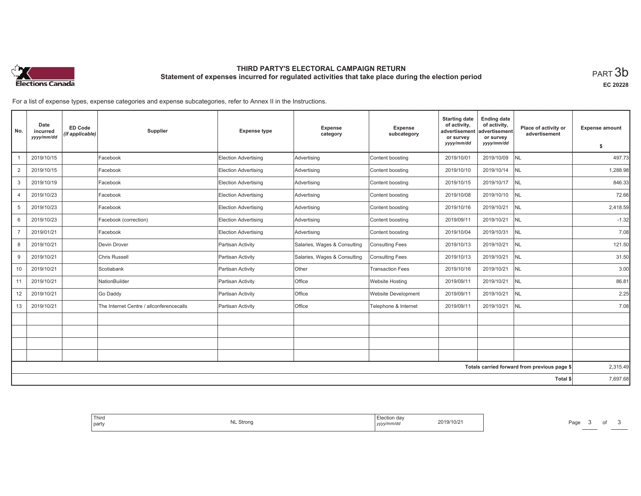

## **THIRD PARTY'S ELECTORAL CAMPAIGN RETURN Statement of expenses incurred for regulated activities that take place during the election period**<br>PART  $3\mathsf{b}$

**EC 20228**

For a list of expense types, expense categories and expense subcategories, refer to Annex II in the Instructions.

| No.             | Date<br>incurred<br>yyyy/mm/dd | <b>ED Code</b><br>(if applicable) | Supplier                                 | <b>Expense type</b>         | <b>Expense</b><br>category   | Expense<br>subcategory     | <b>Starting date</b><br>of activity,<br>advertisement<br>or survey<br>yyyy/mm/dd | <b>Ending date</b><br>of activity,<br>advertisement<br>or survey<br>yyyy/mm/dd | Place of activity or<br>advertisement        | <b>Expense amount</b> |
|-----------------|--------------------------------|-----------------------------------|------------------------------------------|-----------------------------|------------------------------|----------------------------|----------------------------------------------------------------------------------|--------------------------------------------------------------------------------|----------------------------------------------|-----------------------|
|                 |                                |                                   |                                          |                             |                              |                            |                                                                                  |                                                                                |                                              | s.                    |
|                 | 2019/10/15                     |                                   | Facebook                                 | Election Advertising        | Advertising                  | Content boosting           | 2019/10/01                                                                       | 2019/10/09                                                                     | <b>NL</b>                                    | 497.73                |
| $\overline{2}$  | 2019/10/15                     |                                   | Facebook                                 | <b>Election Advertising</b> | Advertising                  | Content boosting           | 2019/10/10                                                                       | 2019/10/14                                                                     | <b>NL</b>                                    | 1,288.98              |
| 3               | 2019/10/19                     |                                   | Facebook                                 | Election Advertising        | Advertising                  | Content boosting           | 2019/10/15                                                                       | 2019/10/17                                                                     | NL                                           | 846.33                |
| $\overline{4}$  | 2019/10/23                     |                                   | Facebook                                 | Election Advertising        | Advertising                  | Content boosting           | 2019/10/08                                                                       | 2019/10/10                                                                     | <b>NL</b>                                    | 72.66                 |
| 5               | 2019/10/23                     |                                   | Facebook                                 | <b>Election Advertising</b> | Advertising                  | Content boosting           | 2019/10/16                                                                       | 2019/10/21                                                                     | <b>NL</b>                                    | 2,418.59              |
| 6               | 2019/10/23                     |                                   | Facebook (correction)                    | Election Advertising        | Advertising                  | Content boosting           | 2019/09/11                                                                       | 2019/10/21                                                                     | NL                                           | $-1.32$               |
| $\overline{7}$  | 2019/01/21                     |                                   | Facebook                                 | Election Advertising        | Advertising                  | Content boosting           | 2019/10/04                                                                       | 2019/10/31                                                                     | <b>NL</b>                                    | 7.08                  |
| 8               | 2019/10/21                     |                                   | Devin Drover                             | Partisan Activity           | Salaries, Wages & Consulting | <b>Consulting Fees</b>     | 2019/10/13                                                                       | 2019/10/21                                                                     | <b>NL</b>                                    | 121.50                |
| 9               | 2019/10/21                     |                                   | Chris Russell                            | Partisan Activity           | Salaries, Wages & Consulting | Consulting Fees            | 2019/10/13                                                                       | 2019/10/21                                                                     | <b>NL</b>                                    | 31.50                 |
| 10 <sup>1</sup> | 2019/10/21                     |                                   | Scotiabank                               | Partisan Activity           | <b>Other</b>                 | <b>Transaction Fees</b>    | 2019/10/16                                                                       | 2019/10/21                                                                     | <b>NL</b>                                    | 3.00                  |
| 11              | 2019/10/21                     |                                   | NationBuilder                            | Partisan Activity           | Office                       | <b>Website Hosting</b>     | 2019/09/11                                                                       | 2019/10/21                                                                     | <b>NL</b>                                    | 86.81                 |
| 12              | 2019/10/21                     |                                   | Go Daddy                                 | Partisan Activity           | Office                       | <b>Website Development</b> | 2019/09/11                                                                       | 2019/10/21                                                                     | <b>NL</b>                                    | 2.25                  |
| 13              | 2019/10/21                     |                                   | The Internet Centre / allconferencecalls | Partisan Activity           | Office                       | Telephone & Internet       | 2019/09/11                                                                       | 2019/10/21                                                                     | <b>INL</b>                                   | 7.08                  |
|                 |                                |                                   |                                          |                             |                              |                            |                                                                                  |                                                                                |                                              |                       |
|                 |                                |                                   |                                          |                             |                              |                            |                                                                                  |                                                                                |                                              |                       |
|                 |                                |                                   |                                          |                             |                              |                            |                                                                                  |                                                                                |                                              |                       |
|                 |                                |                                   |                                          |                             |                              |                            |                                                                                  |                                                                                |                                              |                       |
|                 |                                |                                   |                                          |                             |                              |                            |                                                                                  |                                                                                | Totals carried forward from previous page \$ | 2,315.49              |
|                 |                                |                                   |                                          |                             |                              |                            |                                                                                  |                                                                                | Total \$                                     | 7,697.68              |

| 2019/10/21<br><b>NL Strong</b><br>  party<br>yyyy/mm/dd |
|---------------------------------------------------------|
|---------------------------------------------------------|

Page 3 of 3